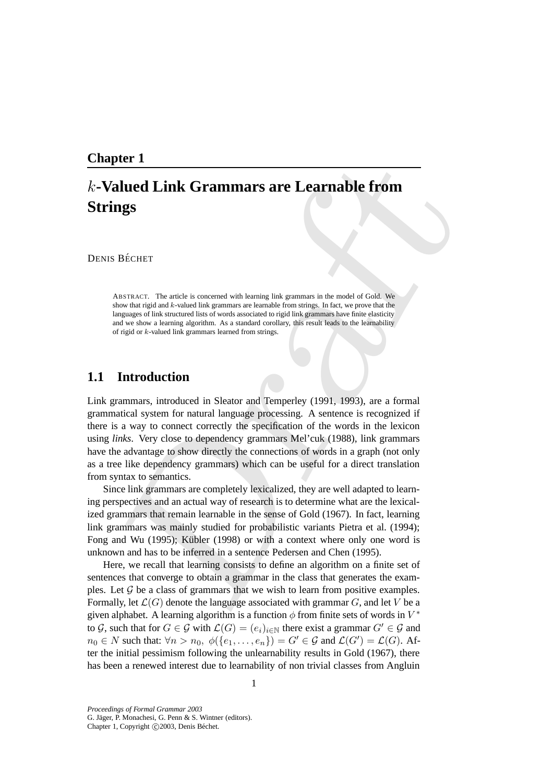## **Chapter 1**

# k**-Valued Link Grammars are Learnable from Strings**

DENIS BÉCHET

ABSTRACT. The article is concerned with learning link grammars in the model of Gold. We show that rigid and k-valued link grammars are learnable from strings. In fact, we prove that the languages of link structured lists of words associated to rigid link grammars have finite elasticity and we show a learning algorithm. As a standard corollary, this result leads to the learnability of rigid or k-valued link grammars learned from strings.

## **1.1 Introduction**

**Definited Example 2**<br> **Definited Example 12**<br> **Definite Contains and the constrained in the constrained by the symmetry of the constrained by the constrained and the symmetry and the symmetry of the symmetry of the symmet** Link grammars, introduced in Sleator and Temperley (1991, 1993), are a formal grammatical system for natural language processing. A sentence is recognized if there is a way to connect correctly the specification of the words in the lexicon using *links*. Very close to dependency grammars Mel'cuk (1988), link grammars have the advantage to show directly the connections of words in a graph (not only as a tree like dependency grammars) which can be useful for a direct translation from syntax to semantics.

Since link grammars are completely lexicalized, they are well adapted to learning perspectives and an actual way of research is to determine what are the lexicalized grammars that remain learnable in the sense of Gold (1967). In fact, learning link grammars was mainly studied for probabilistic variants Pietra et al. (1994); Fong and Wu  $(1995)$ ; Kübler  $(1998)$  or with a context where only one word is unknown and has to be inferred in a sentence Pedersen and Chen (1995).

Here, we recall that learning consists to define an algorithm on a finite set of sentences that converge to obtain a grammar in the class that generates the examples. Let  $\mathcal G$  be a class of grammars that we wish to learn from positive examples. Formally, let  $\mathcal{L}(G)$  denote the language associated with grammar G, and let V be a given alphabet. A learning algorithm is a function  $\phi$  from finite sets of words in  $V^*$ to G, such that for  $G \in \mathcal{G}$  with  $\mathcal{L}(G) = (e_i)_{i \in \mathbb{N}}$  there exist a grammar  $G' \in \mathcal{G}$  and  $n_0 \in N$  such that:  $\forall n > n_0, \ \phi(\{e_1, \dots, e_n\}) = G' \in \mathcal{G}$  and  $\mathcal{L}(G') = \mathcal{L}(G)$ . After the initial pessimism following the unlearnability results in Gold (1967), there has been a renewed interest due to learnability of non trivial classes from Angluin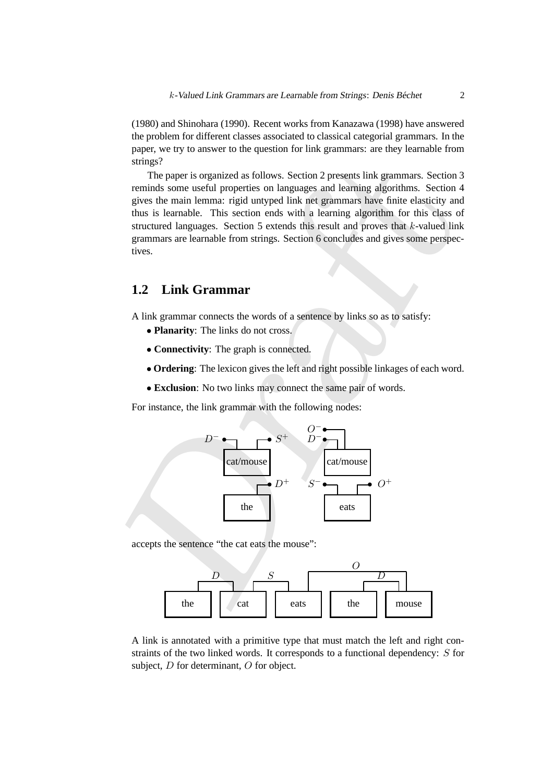(1980) and Shinohara (1990). Recent works from Kanazawa (1998) have answered the problem for different classes associated to classical categorial grammars. In the paper, we try to answer to the question for link grammars: are they learnable from strings?

strings?<br>
The paper is organized as follows. Section 2 presents link grammars. Section 2<br>
Teminds some useful properties on languages and learning algorithms. Section a<br>
gives the main lemmars rigid untyped link the gramm The paper is organized as follows. Section 2 presents link grammars. Section 3 reminds some useful properties on languages and learning algorithms. Section 4 gives the main lemma: rigid untyped link net grammars have finite elasticity and thus is learnable. This section ends with a learning algorithm for this class of structured languages. Section 5 extends this result and proves that k-valued link grammars are learnable from strings. Section 6 concludes and gives some perspectives.

## **1.2 Link Grammar**

A link grammar connects the words of a sentence by links so as to satisfy:

- **Planarity**: The links do not cross.
- **Connectivity**: The graph is connected.
- **Ordering**: The lexicon gives the left and right possible linkages of each word.
- **Exclusion**: No two links may connect the same pair of words.

For instance, the link grammar with the following nodes:



accepts the sentence "the cat eats the mouse":



A link is annotated with a primitive type that must match the left and right constraints of the two linked words. It corresponds to a functional dependency: S for subject, D for determinant, O for object.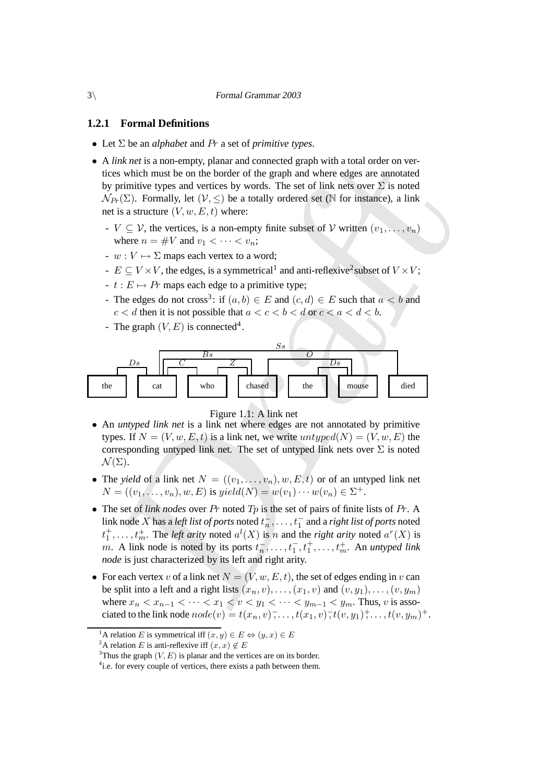### **1.2.1 Formal Definitions**

- Let Σ be an *alphabet* and Pr a set of *primitive types*.
- A *link net* is a non-empty, planar and connected graph with a total order on vertices which must be on the border of the graph and where edges are annotated by primitive types and vertices by words. The set of link nets over  $\Sigma$  is noted  $\mathcal{N}_{Pr}(\Sigma)$ . Formally, let  $(\mathcal{V}, \leq)$  be a totally ordered set (N for instance), a link net is a structure  $(V, w, E, t)$  where:
	- $V \subseteq V$ , the vertices, is a non-empty finite subset of V written  $(v_1, \ldots, v_n)$ where  $n = \#V$  and  $v_1 < \cdots < v_n$ ;
	- $w: V \mapsto \Sigma$  maps each vertex to a word:
	- $E \subseteq V \times V$ , the edges, is a symmetrical<sup>1</sup> and anti-reflexive<sup>2</sup> subset of  $V \times V$ ;
	- $-t : E \mapsto Pr$  maps each edge to a primitive type;
	- The edges do not cross<sup>3</sup>: if  $(a, b) \in E$  and  $(c, d) \in E$  such that  $a < b$  and  $c < d$  then it is not possible that  $a < c < b < d$  or  $c < a < d < b$ .
	- The graph  $(V, E)$  is connected<sup>4</sup>.



Figure 1.1: A link net

- An *untyped link net* is a link net where edges are not annotated by primitive types. If  $N = (V, w, E, t)$  is a link net, we write  $untyped(N) = (V, w, E)$  the corresponding untyped link net. The set of untyped link nets over  $\Sigma$  is noted  $\mathcal{N}(\Sigma).$
- The *yield* of a link net  $N = ((v_1, \ldots, v_n), w, E, t)$  or of an untyped link net  $N = ((v_1, \ldots, v_n), w, E)$  is  $yield(N) = w(v_1) \cdots w(v_n) \in \Sigma^+.$
- The set of *link nodes* over Pr noted Tp is the set of pairs of finite lists of Pr. A link node X has a *left* list of ports noted  $t_n^-, \ldots, t_1^-$  and a right list of ports noted  $t_1^+$ , ...,  $t_m^+$ . The *left arity* noted  $a^l(X)$  is n and the *right arity* noted  $a^r(X)$  is m. A link node is noted by its ports  $t_n^{\text{-}}, \ldots, t_1^{\text{-}}$  $\frac{1}{1}, t_1^+, \ldots, t_m^+$ . An *untyped link node* is just characterized by its left and right arity.
- For each vertex v of a link net  $N = (V, w, E, t)$ , the set of edges ending in v can be split into a left and a right lists  $(x_n, v), \ldots, (x_1, v)$  and  $(v, y_1), \ldots, (v, y_m)$ where  $x_n < x_{n-1} < \cdots < x_1 < v < y_1 < \cdots < y_{m-1} < y_m$ . Thus, v is associated to the link node  $node(v) = t(x_n, v), \ldots, t(x_1, v), t(v, y_1), \ldots, t(v, y_m)^+$ .

<sup>&</sup>lt;sup>1</sup>A relation *E* is symmetrical iff  $(x, y) \in E \Leftrightarrow (y, x) \in E$ 

<sup>&</sup>lt;sup>2</sup>A relation E is anti-reflexive iff  $(x, x) \notin E$ 

<sup>&</sup>lt;sup>3</sup>Thus the graph  $(V, E)$  is planar and the vertices are on its border.

<sup>&</sup>lt;sup>4</sup>i.e. for every couple of vertices, there exists a path between them.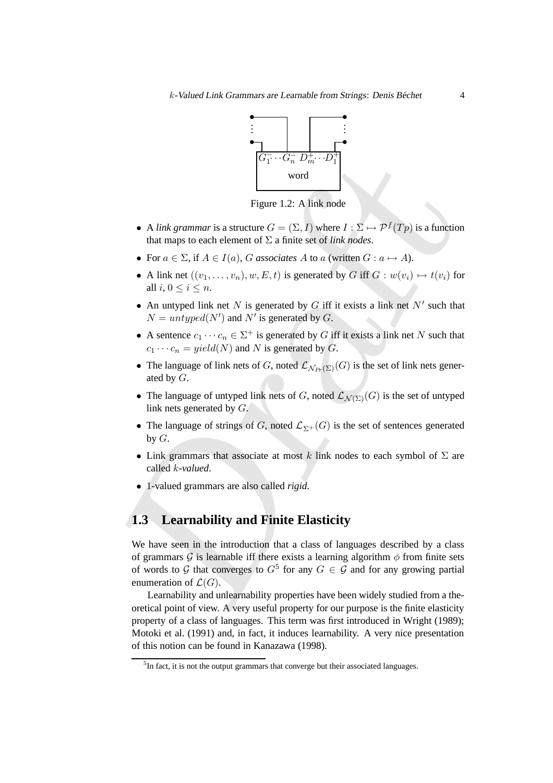

Figure 1.2: A link node

- A *link grammar* is a structure  $G = (\Sigma, I)$  where  $I : \Sigma \mapsto \mathcal{P}^f(Tp)$  is a function that maps to each element of  $\Sigma$  a finite set of *link nodes*.
- For  $a \in \Sigma$ , if  $A \in I(a)$ , G associates A to a (written  $G : a \mapsto A$ ).
- A link net  $((v_1, \ldots, v_n), w, E, t)$  is generated by G iff  $G : w(v_i) \mapsto t(v_i)$  for all  $i, 0 \leq i \leq n$ .
- An untyped link net N is generated by G iff it exists a link net  $N'$  such that  $N = untyped(N')$  and N' is generated by G.
- A sentence  $c_1 \cdots c_n \in \Sigma^+$  is generated by G iff it exists a link net N such that  $c_1 \cdots c_n = yield(N)$  and N is generated by G.
- The language of link nets of G, noted  $\mathcal{L}_{N_{P_r}(\Sigma)}(G)$  is the set of link nets generated by  $G$ .
- The language of untyped link nets of G, noted  $\mathcal{L}_{\mathcal{N}(\Sigma)}(G)$  is the set of untyped link nets generated by G.
- The language of strings of G, noted  $\mathcal{L}_{\Sigma^+}(G)$  is the set of sentences generated by  $G$ .
- Link grammars that associate at most k link nodes to each symbol of  $\Sigma$  are called k*-valued*.
- 1-valued grammars are also called *rigid*.

## **1.3 Learnability and Finite Elasticity**

**Example 1.2:** A link grammar is a structure  $G = (\sum_i D_{in}^T \cdot C_i - (D_{in}^T \cdot D_{in}^T \cdot D^T))$  word<br>
word<br>
that maps to each element of  $\Sigma$  a finite set of *fink node*.<br>
Figure 1.2: A finit word  $\sum_i (S_i D_i)$  where  $I : \Sigma \mapsto P^f(Tp)$  i We have seen in the introduction that a class of languages described by a class of grammars  $\hat{G}$  is learnable iff there exists a learning algorithm  $\phi$  from finite sets of words to G that converges to  $G^5$  for any  $G \in \mathcal{G}$  and for any growing partial enumeration of  $\mathcal{L}(G)$ .

Learnability and unlearnability properties have been widely studied from a theoretical point of view. A very useful property for our purpose is the finite elasticity property of a class of languages. This term was first introduced in Wright (1989); Motoki et al. (1991) and, in fact, it induces learnability. A very nice presentation of this notion can be found in Kanazawa (1998).

<sup>&</sup>lt;sup>5</sup>In fact, it is not the output grammars that converge but their associated languages.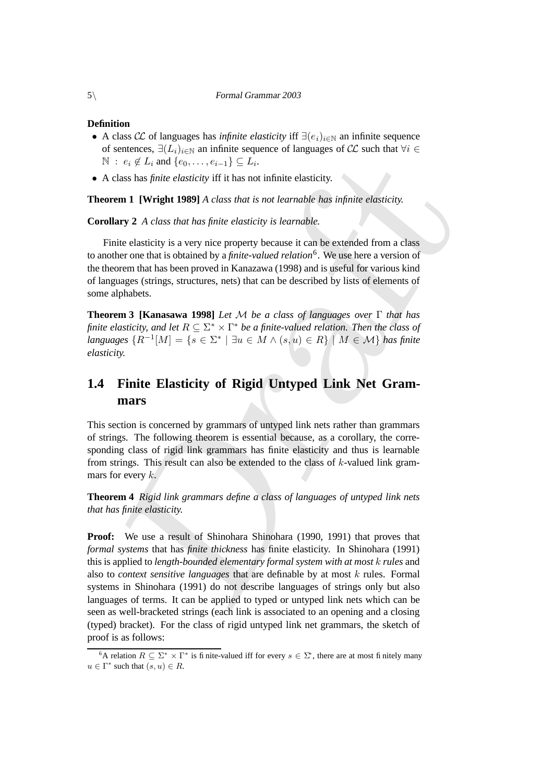#### **Definition**

- A class  $\mathcal{CL}$  of languages has *infinite elasticity* iff  $\exists (e_i)_{i \in \mathbb{N}}$  an infinite sequence of sentences,  $\exists (L_i)_{i\in\mathbb{N}}$  an infinite sequence of languages of  $\mathcal{CL}$  such that  $\forall i \in \mathcal{L}$  $\mathbb{N} : e_i \notin L_i$  and  $\{e_0, \ldots, e_{i-1}\} \subseteq L_i$ .
- A class has *finite elasticity* iff it has not infinite elasticity.

**Theorem 1 [Wright 1989]** *A class that is not learnable has infinite elasticity.*

**Corollary 2** *A class that has finite elasticity is learnable.*

Finite elasticity is a very nice property because it can be extended from a class to another one that is obtained by a *finite-valued relation*<sup>6</sup> . We use here a version of the theorem that has been proved in Kanazawa (1998) and is useful for various kind of languages (strings, structures, nets) that can be described by lists of elements of some alphabets.

**Theorem 3 [Kanasawa 1998]** *Let* M *be a class of languages over* Γ *that has finite* elasticity, and let  $R \subseteq \Sigma^* \times \Gamma^*$  be a finite-valued relation. Then the class of *languages*  ${R^{-1}[M]} = {s \in \Sigma^* | \exists u \in M \land (s, u) \in R}$  | M ∈ M} *has finite elasticity.*

## **1.4 Finite Elasticity of Rigid Untyped Link Net Grammars**

This section is concerned by grammars of untyped link nets rather than grammars of strings. The following theorem is essential because, as a corollary, the corresponding class of rigid link grammars has finite elasticity and thus is learnable from strings. This result can also be extended to the class of  $k$ -valued link grammars for every  $k$ .

**Theorem 4** *Rigid link grammars define a class of languages of untyped link nets that has finite elasticity.*

:  $c_i \not\in I_i$  and  $\{c_0, \ldots, c_{i-1}\} \subseteq I_i$ .<br>
class has *finite elasticity* iff it has not infinite elasticity.<br> **and 1 [Wright 1989]** A class that is not learnable has infinite elasticity.<br> **ary 2** A class that has finite e **Proof:** We use a result of Shinohara Shinohara (1990, 1991) that proves that *formal systems* that has *finite thickness* has finite elasticity. In Shinohara (1991) this is applied to *length-bounded elementary formal system with at most* k *rules* and also to *context sensitive languages* that are definable by at most k rules. Formal systems in Shinohara (1991) do not describe languages of strings only but also languages of terms. It can be applied to typed or untyped link nets which can be seen as well-bracketed strings (each link is associated to an opening and a closing (typed) bracket). For the class of rigid untyped link net grammars, the sketch of proof is as follows:

<sup>&</sup>lt;sup>6</sup>A relation  $R \subseteq \Sigma^* \times \Gamma^*$  is finite-valued iff for every  $s \in \Sigma^*$ , there are at most finitely many  $u \in \Gamma^*$  such that  $(s, u) \in R$ .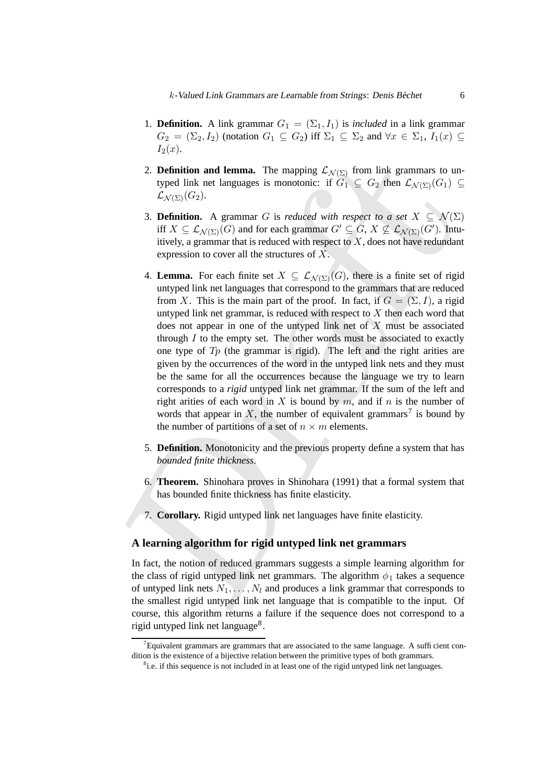- 1. **Definition.** A link grammar  $G_1 = (\Sigma_1, I_1)$  is *included* in a link grammar  $G_2 = (\Sigma_2, I_2)$  (notation  $G_1 \subseteq G_2$ ) iff  $\Sigma_1 \subseteq \Sigma_2$  and  $\forall x \in \Sigma_1$ ,  $I_1(x) \subseteq$  $I_2(x)$ .
- 2. **Definition and lemma.** The mapping  $\mathcal{L}_{\mathcal{N}(\Sigma)}$  from link grammars to untyped link net languages is monotonic: if  $G_1 \subseteq G_2$  then  $\mathcal{L}_{\mathcal{N}(\Sigma)}(G_1) \subseteq$  $\mathcal{L}_{\mathcal{N}(\Sigma)}(G_2).$
- 3. **Definition.** A grammar G is *reduced with respect to a set*  $X \subseteq \mathcal{N}(\Sigma)$ iff  $X \subseteq \mathcal{L}_{\mathcal{N}(\Sigma)}(G)$  and for each grammar  $G' \subseteq G$ ,  $X \nsubseteq \mathcal{L}_{\mathcal{N}(\Sigma)}(G')$ . Intuitively, a grammar that is reduced with respect to  $X$ , does not have redundant expression to cover all the structures of X.
- 2. **Definition and lemma.** The mapping  $\mathcal{L}_{N(Y)}$  from link grammars to ung<br>
typed link net languages is monotonic: if  $G_1 \subseteq G_2$  then  $\mathcal{L}_{N(Y)}(G_1) \subseteq$ <br>  $\mathcal{L}_{N(Y)}(G_2)$ .<br>
3. **Definition.** A grammar G is *reduced with* 4. **Lemma.** For each finite set  $X \subseteq \mathcal{L}_{\mathcal{N}(\Sigma)}(G)$ , there is a finite set of rigid untyped link net languages that correspond to the grammars that are reduced from X. This is the main part of the proof. In fact, if  $G = (\Sigma, I)$ , a rigid untyped link net grammar, is reduced with respect to  $X$  then each word that does not appear in one of the untyped link net of  $X$  must be associated through  $I$  to the empty set. The other words must be associated to exactly one type of  $Tp$  (the grammar is rigid). The left and the right arities are given by the occurrences of the word in the untyped link nets and they must be the same for all the occurrences because the language we try to learn corresponds to a *rigid* untyped link net grammar. If the sum of the left and right arities of each word in X is bound by  $m$ , and if  $n$  is the number of words that appear in X, the number of equivalent grammars<sup>7</sup> is bound by the number of partitions of a set of  $n \times m$  elements.
	- 5. **Definition.** Monotonicity and the previous property define a system that has *bounded finite thickness*.
	- 6. **Theorem.** Shinohara proves in Shinohara (1991) that a formal system that has bounded finite thickness has finite elasticity.
	- 7. **Corollary.** Rigid untyped link net languages have finite elasticity.

#### **A learning algorithm for rigid untyped link net grammars**

In fact, the notion of reduced grammars suggests a simple learning algorithm for the class of rigid untyped link net grammars. The algorithm  $\phi_1$  takes a sequence of untyped link nets  $N_1, \ldots, N_l$  and produces a link grammar that corresponds to the smallest rigid untyped link net language that is compatible to the input. Of course, this algorithm returns a failure if the sequence does not correspond to a rigid untyped link net language<sup>8</sup>.

 $7$ Equivalent grammars are grammars that are associated to the same language. A sufficient condition is the existence of a bijective relation between the primitive types of both grammars.

<sup>&</sup>lt;sup>8</sup>i.e. if this sequence is not included in at least one of the rigid untyped link net languages.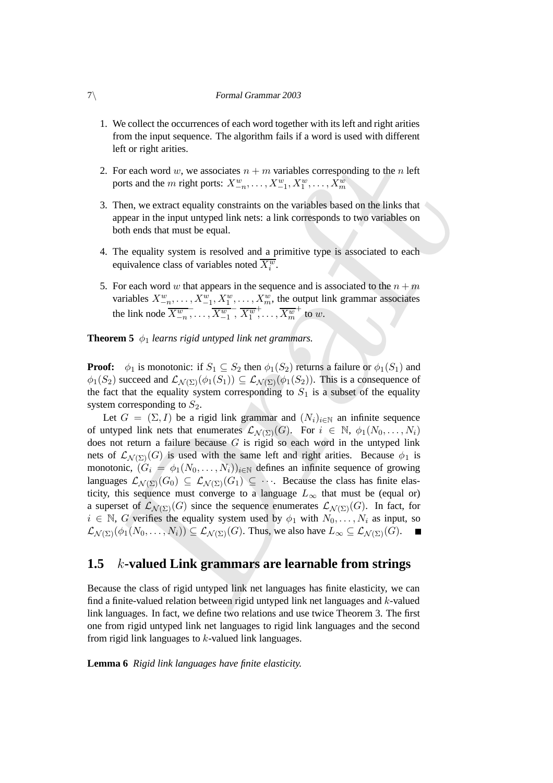- 1. We collect the occurrences of each word together with its left and right arities from the input sequence. The algorithm fails if a word is used with different left or right arities.
- 2. For each word w, we associates  $n + m$  variables corresponding to the n left ports and the *m* right ports:  $X_{-n}^w, \ldots, X_{-1}^w, X_1^w, \ldots, X_m^w$
- 3. Then, we extract equality constraints on the variables based on the links that appear in the input untyped link nets: a link corresponds to two variables on both ends that must be equal.
- 4. The equality system is resolved and a primitive type is associated to each equivalence class of variables noted  $\overline{X_i^w}$ .
- 5. For each word w that appears in the sequence and is associated to the  $n + m$ variables  $X_{-n}^w, \ldots, X_{-1}^w, X_1^w, \ldots, X_m^w$ , the output link grammar associates the link node  $\overline{X^w_{-n}}$  $\frac{1}{\sigma}, \ldots, \overline{X^{w}_{-1}}$  $\overline{X_1^w}$  $\frac{1}{2}, \ldots, \overline{X_m^w}$  $+$  to  $w$ .

**Theorem 5**  $\phi_1$  *learns rigid untyped link net grammars.* 

**Proof:**  $\phi_1$  is monotonic: if  $S_1 \subseteq S_2$  then  $\phi_1(S_2)$  returns a failure or  $\phi_1(S_1)$  and  $\phi_1(S_2)$  succeed and  $\mathcal{L}_{\mathcal{N}(\Sigma)}(\phi_1(S_1)) \subseteq \mathcal{L}_{\mathcal{N}(\Sigma)}(\phi_1(S_2))$ . This is a consequence of the fact that the equality system corresponding to  $S_1$  is a subset of the equality system corresponding to  $S_2$ .

For each word w, we associates  $n + m$  variables corresponding to the *n* left<br>for the metric equality constraints on the variables based on the links that<br>then, we extract equality constraints on the variables based on the Let  $G = (\Sigma, I)$  be a rigid link grammar and  $(N_i)_{i \in \mathbb{N}}$  an infinite sequence of untyped link nets that enumerates  $\mathcal{L}_{\mathcal{N}(\Sigma)}(G)$ . For  $i \in \mathbb{N}$ ,  $\phi_1(N_0, \ldots, N_i)$ does not return a failure because  $G$  is rigid so each word in the untyped link nets of  $\mathcal{L}_{\mathcal{N}(\Sigma)}(G)$  is used with the same left and right arities. Because  $\phi_1$  is monotonic,  $(G_i = \phi_1(N_0, \ldots, N_i))_{i \in \mathbb{N}}$  defines an infinite sequence of growing languages  $\mathcal{L}_{\mathcal{N}(\Sigma)}(G_0) \subseteq \mathcal{L}_{\mathcal{N}(\Sigma)}(G_1) \subseteq \cdots$ . Because the class has finite elasticity, this sequence must converge to a language  $L_{\infty}$  that must be (equal or) a superset of  $\mathcal{L}_{\mathcal{N}(\Sigma)}(G)$  since the sequence enumerates  $\mathcal{L}_{\mathcal{N}(\Sigma)}(G)$ . In fact, for  $i \in \mathbb{N}$ , G verifies the equality system used by  $\phi_1$  with  $N_0, \ldots, N_i$  as input, so  $\mathcal{L}_{\mathcal{N}(\Sigma)}(\phi_1(N_0,\ldots,N_i)) \subseteq \mathcal{L}_{\mathcal{N}(\Sigma)}(G)$ . Thus, we also have  $L_\infty \subseteq \mathcal{L}_{\mathcal{N}(\Sigma)}(G)$ .

## **1.5** k**-valued Link grammars are learnable from strings**

Because the class of rigid untyped link net languages has finite elasticity, we can find a finite-valued relation between rigid untyped link net languages and k-valued link languages. In fact, we define two relations and use twice Theorem 3. The first one from rigid untyped link net languages to rigid link languages and the second from rigid link languages to  $k$ -valued link languages.

**Lemma 6** *Rigid link languages have finite elasticity.*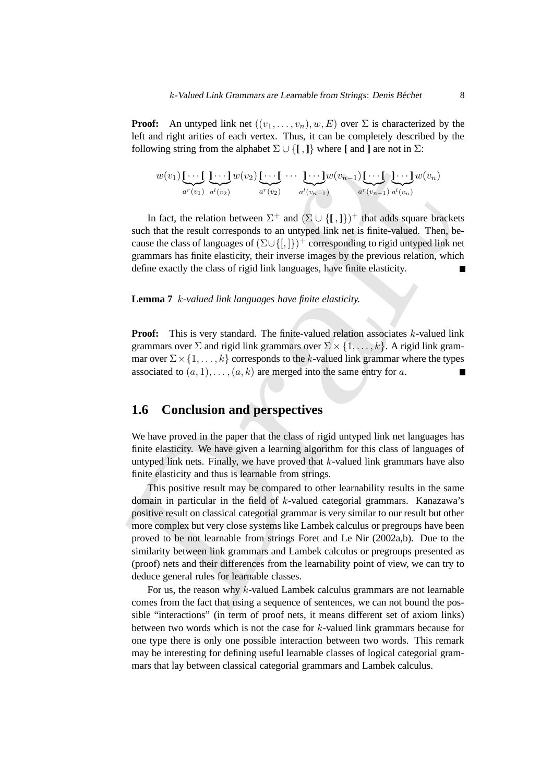**Proof:** An untyped link net  $((v_1, \ldots, v_n), w, E)$  over  $\Sigma$  is characterized by the left and right arities of each vertex. Thus, it can be completely described by the following string from the alphabet  $\Sigma \cup \{[\, , \, ]\}$  where  $[\,$  and  $]\,$  are not in  $\Sigma$ :

w(v1)**[** · · · **[** | {z } a <sup>r</sup>(v1) **]** · · · **]** | {z } a <sup>l</sup>(v2) w(v2)**[** · · · **[** | {z } a <sup>r</sup>(v2) · · · **]** · · · **]** | {z } a <sup>l</sup>(vn−1) w(vn−1)**[** · · · **[** | {z } a <sup>r</sup>(vn−1) **]** · · · **]** | {z } a <sup>l</sup>(vn) w(vn)

In fact, the relation between  $\Sigma^+$  and  $(\Sigma \cup \{\text{[},\text{]}\})^+$  that adds square brackets such that the result corresponds to an untyped link net is finite-valued. Then, because the class of languages of  $(\Sigma \cup \{[,]\})^+$  corresponding to rigid untyped link net grammars has finite elasticity, their inverse images by the previous relation, which define exactly the class of rigid link languages, have finite elasticity.

#### **Lemma 7** k*-valued link languages have finite elasticity.*

**Proof:** This is very standard. The finite-valued relation associates  $k$ -valued link grammars over  $\Sigma$  and rigid link grammars over  $\Sigma \times \{1, \ldots, k\}$ . A rigid link grammar over  $\Sigma \times \{1, \ldots, k\}$  corresponds to the k-valued link grammar where the types associated to  $(a, 1), \ldots, (a, k)$  are merged into the same entry for a.

## **1.6 Conclusion and perspectives**

We have proved in the paper that the class of rigid untyped link net languages has finite elasticity. We have given a learning algorithm for this class of languages of untyped link nets. Finally, we have proved that  $k$ -valued link grammars have also finite elasticity and thus is learnable from strings.

 $w(v_1)$ [ $\cdots$ [ $\cdots$ ] $w(v_2)$ [ $\cdots$ ]  $\cdots$ ]  $w(v_{n-1})$ <br>  $w^*(v_{n-1})$   $w^*(v_{n-1})$   $w^*(v_{n-1})$ <br>
In fact, the relation between  $\Sigma^+$  and  $\langle \Sigma \cup \{I_1\}\rangle$  that adds square bracket<br>
such that the result corresponds to an untyped This positive result may be compared to other learnability results in the same domain in particular in the field of k-valued categorial grammars. Kanazawa's positive result on classical categorial grammar is very similar to our result but other more complex but very close systems like Lambek calculus or pregroups have been proved to be not learnable from strings Foret and Le Nir (2002a,b). Due to the similarity between link grammars and Lambek calculus or pregroups presented as (proof) nets and their differences from the learnability point of view, we can try to deduce general rules for learnable classes.

For us, the reason why  $k$ -valued Lambek calculus grammars are not learnable comes from the fact that using a sequence of sentences, we can not bound the possible "interactions" (in term of proof nets, it means different set of axiom links) between two words which is not the case for k-valued link grammars because for one type there is only one possible interaction between two words. This remark may be interesting for defining useful learnable classes of logical categorial grammars that lay between classical categorial grammars and Lambek calculus.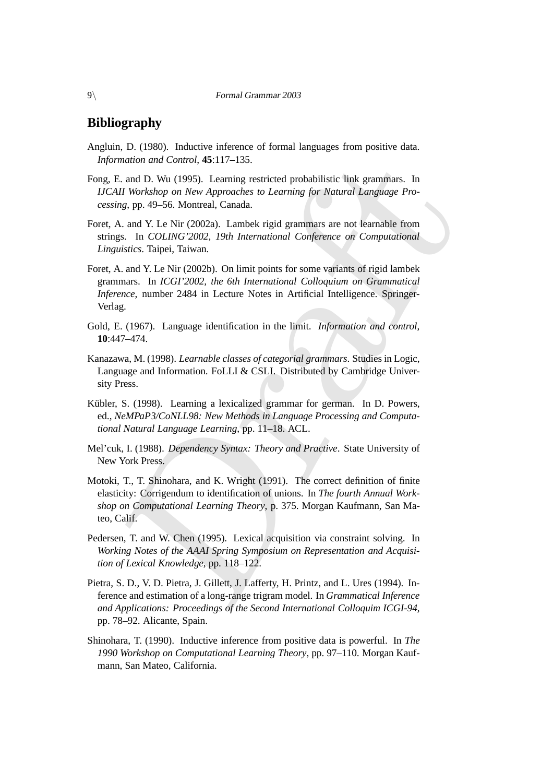## **Bibliography**

- Angluin, D. (1980). Inductive inference of formal languages from positive data. *Information and Control*, **45**:117–135.
- Fong, E. and D. Wu (1995). Learning restricted probabilistic link grammars. In *IJCAII Workshop on New Approaches to Learning for Natural Language Processing*, pp. 49–56. Montreal, Canada.
- Foret, A. and Y. Le Nir (2002a). Lambek rigid grammars are not learnable from strings. In *COLING'2002, 19th International Conference on Computational Linguistics*. Taipei, Taiwan.
- mation and Control, 45:117-135.<br>
F. and D. Wu (1995). Learning restricted probabilistic link grammars. In<br>
IM Workshop on New Approaches to Learning for Natural Language Pro-<br>
ing, pp. 49-56. Montreal, Canada.<br>
A. A. D. N Foret, A. and Y. Le Nir (2002b). On limit points for some variants of rigid lambek grammars. In *ICGI'2002, the 6th International Colloquium on Grammatical Inference*, number 2484 in Lecture Notes in Artificial Intelligence. Springer-Verlag.
- Gold, E. (1967). Language identification in the limit. *Information and control*, **10**:447–474.
- Kanazawa, M. (1998). *Learnable classes of categorial grammars*. Studies in Logic, Language and Information. FoLLI & CSLI. Distributed by Cambridge University Press.
- Kübler, S. (1998). Learning a lexicalized grammar for german. In D. Powers, ed., *NeMPaP3/CoNLL98: New Methods in Language Processing and Computational Natural Language Learning*, pp. 11–18. ACL.
- Mel'cuk, I. (1988). *Dependency Syntax: Theory and Practive*. State University of New York Press.
- Motoki, T., T. Shinohara, and K. Wright (1991). The correct definition of finite elasticity: Corrigendum to identification of unions. In *The fourth Annual Workshop on Computational Learning Theory*, p. 375. Morgan Kaufmann, San Mateo, Calif.
- Pedersen, T. and W. Chen (1995). Lexical acquisition via constraint solving. In *Working Notes of the AAAI Spring Symposium on Representation and Acquisition of Lexical Knowledge*, pp. 118–122.
- Pietra, S. D., V. D. Pietra, J. Gillett, J. Lafferty, H. Printz, and L. Ures (1994). Inference and estimation of a long-range trigram model. In *Grammatical Inference and Applications: Proceedings of the Second International Colloquim ICGI-94*, pp. 78–92. Alicante, Spain.
- Shinohara, T. (1990). Inductive inference from positive data is powerful. In *The 1990 Workshop on Computational Learning Theory*, pp. 97–110. Morgan Kaufmann, San Mateo, California.